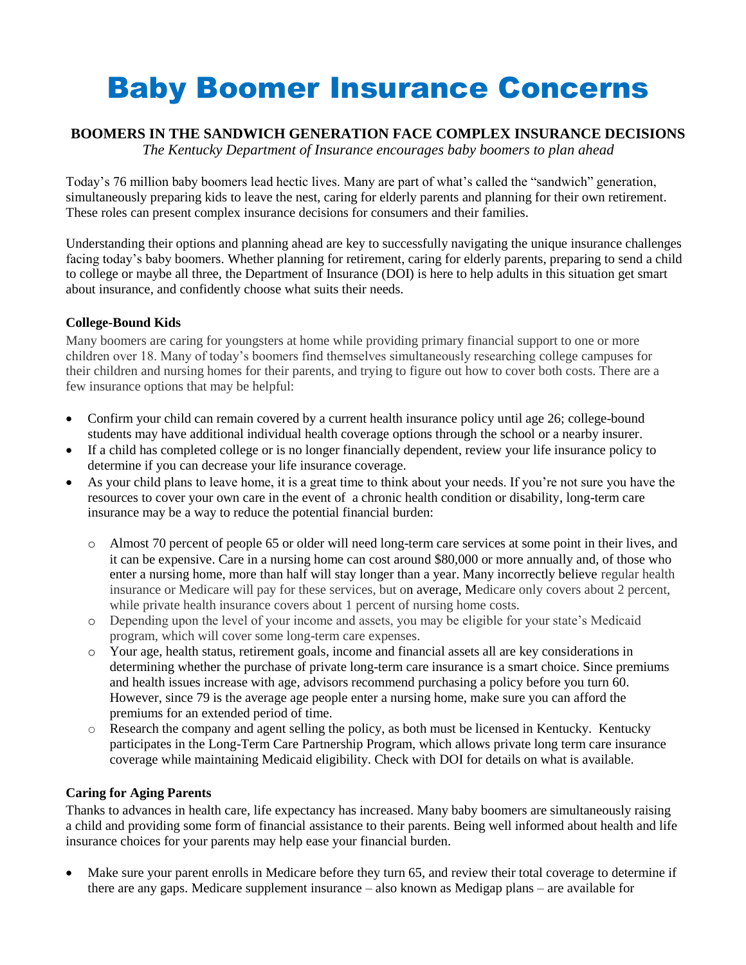# Baby Boomer Insurance Concerns

# **BOOMERS IN THE SANDWICH GENERATION FACE COMPLEX INSURANCE DECISIONS**

*The Kentucky Department of Insurance encourages baby boomers to plan ahead* 

Today's 76 million baby boomers lead hectic lives. Many are part of what's called the "sandwich" generation, simultaneously preparing kids to leave the nest, caring for elderly parents and planning for their own retirement. These roles can present complex insurance decisions for consumers and their families.

Understanding their options and planning ahead are key to successfully navigating the unique insurance challenges facing today's baby boomers. Whether planning for retirement, caring for elderly parents, preparing to send a child to college or maybe all three, the Department of Insurance (DOI) is here to help adults in this situation get smart about insurance, and confidently choose what suits their needs.

## **College-Bound Kids**

Many boomers are caring for youngsters at home while providing primary financial support to one or more children over 18. Many of today's boomers find themselves simultaneously researching college campuses for their children and nursing homes for their parents, and trying to figure out how to cover both costs. There are a few insurance options that may be helpful:

- Confirm your child can remain covered by a current health insurance policy until age 26; college-bound students may have additional individual health coverage options through the school or a nearby insurer.
- If a child has completed college or is no longer financially dependent, review your life insurance policy to determine if you can decrease your life insurance coverage.
- As your child plans to leave home, it is a great time to think about your needs. If you're not sure you have the resources to cover your own care in the event of a chronic health condition or disability, long-term care insurance may be a way to reduce the potential financial burden:
	- o Almost 70 percent of people 65 or older will need long-term care services at some point in their lives, and it can be expensive. Care in a nursing home can cost around \$80,000 or more annually and, of those who enter a nursing home, more than half will stay longer than a year. Many incorrectly believe regular health insurance or Medicare will pay for these services, but on average, Medicare only covers about 2 percent, while private health insurance covers about 1 percent of nursing home costs.
	- o Depending upon the level of your income and assets, you may be eligible for your state's Medicaid program, which will cover some long-term care expenses.
	- o Your age, health status, retirement goals, income and financial assets all are key considerations in determining whether the purchase of private long-term care insurance is a smart choice. Since premiums and health issues increase with age, advisors recommend purchasing a policy before you turn 60. However, since 79 is the average age people enter a nursing home, make sure you can afford the premiums for an extended period of time.
	- o Research the company and agent selling the policy, as both must be licensed in Kentucky. Kentucky participates in the Long-Term Care Partnership Program, which allows private long term care insurance coverage while maintaining Medicaid eligibility. Check with DOI for details on what is available.

### **Caring for Aging Parents**

Thanks to advances in health care, life expectancy has increased. Many baby boomers are simultaneously raising a child and providing some form of financial assistance to their parents. Being well informed about health and life insurance choices for your parents may help ease your financial burden.

 Make sure your parent enrolls in Medicare before they turn 65, and review their total coverage to determine if there are any gaps. Medicare supplement insurance – also known as Medigap plans – are available for